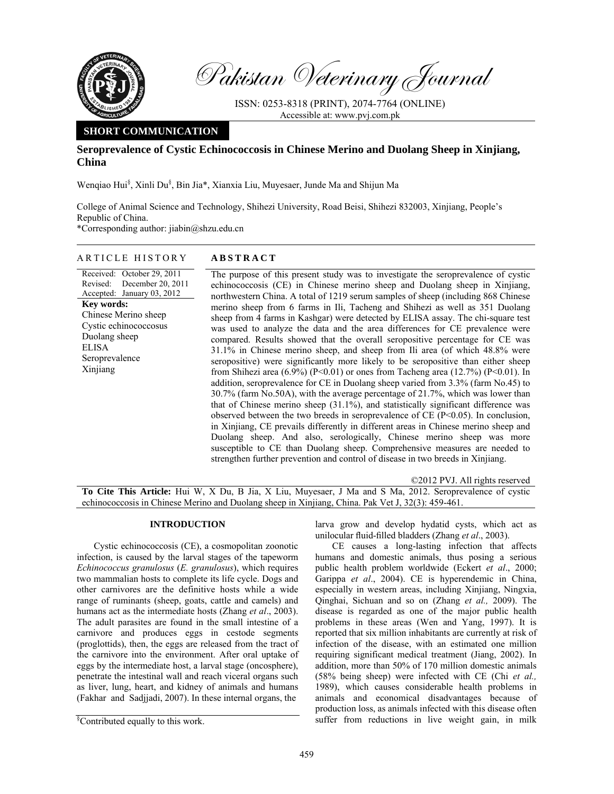

Pakistan Veterinary Journal

ISSN: 0253-8318 (PRINT), 2074-7764 (ONLINE) Accessible at: www.pvj.com.pk

# **SHORT COMMUNICATION**

# **Seroprevalence of Cystic Echinococcosis in Chinese Merino and Duolang Sheep in Xinjiang, China**

Wenqiao Hui<sup>§</sup>, Xinli Du<sup>§</sup>, Bin Jia\*, Xianxia Liu, Muyesaer, Junde Ma and Shijun Ma

College of Animal Science and Technology, Shihezi University, Road Beisi, Shihezi 832003, Xinjiang, People's Republic of China.

\*Corresponding author: jiabin@shzu.edu.cn

## ARTICLE HISTORY **ABSTRACT**

Received: October 29, 2011 Revised: Accepted: January 03, 2012 December 20, 2011 **Key words:**  Chinese Merino sheep Cystic echinococcosus Duolang sheep ELISA Seroprevalence Xinjiang

The purpose of this present study was to investigate the seroprevalence of cystic echinococcosis (CE) in Chinese merino sheep and Duolang sheep in Xinjiang, northwestern China. A total of 1219 serum samples of sheep (including 868 Chinese merino sheep from 6 farms in Ili, Tacheng and Shihezi as well as 351 Duolang sheep from 4 farms in Kashgar) were detected by ELISA assay. The chi-square test was used to analyze the data and the area differences for CE prevalence were compared. Results showed that the overall seropositive percentage for CE was 31.1% in Chinese merino sheep, and sheep from Ili area (of which 48.8% were seropositive) were significantly more likely to be seropositive than either sheep from Shihezi area (6.9%) (P<0.01) or ones from Tacheng area (12.7%) (P<0.01). In addition, seroprevalence for CE in Duolang sheep varied from 3.3% (farm No.45) to 30.7% (farm No.50A), with the average percentage of 21.7%, which was lower than that of Chinese merino sheep  $(31.1\%)$ , and statistically significant difference was observed between the two breeds in seroprevalence of CE  $(P<0.05)$ . In conclusion, in Xinjiang, CE prevails differently in different areas in Chinese merino sheep and Duolang sheep. And also, serologically, Chinese merino sheep was more susceptible to CE than Duolang sheep. Comprehensive measures are needed to strengthen further prevention and control of disease in two breeds in Xinjiang.

©2012 PVJ. All rights reserved **To Cite This Article:** Hui W, X Du, B Jia, X Liu, Muyesaer, J Ma and S Ma, 2012. Seroprevalence of cystic echinococcosis in Chinese Merino and Duolang sheep in Xinjiang, China. Pak Vet J, 32(3): 459-461.

## **INTRODUCTION**

Cystic echinococcosis (CE), a cosmopolitan zoonotic infection, is caused by the larval stages of the tapeworm *Echinococcus granulosus* (*E. granulosus*), which requires two mammalian hosts to complete its life cycle. Dogs and other carnivores are the definitive hosts while a wide range of ruminants (sheep, goats, cattle and camels) and humans act as the intermediate hosts (Zhang *et al*., 2003). The adult parasites are found in the small intestine of a carnivore and produces eggs in cestode segments (proglottids), then, the eggs are released from the tract of the carnivore into the environment. After oral uptake of eggs by the intermediate host, a larval stage (oncosphere), penetrate the intestinal wall and reach viceral organs such as liver, lung, heart, and kidney of animals and humans (Fakhar and Sadjjadi, 2007). In these internal organs, the

larva grow and develop hydatid cysts, which act as unilocular fluid-filled bladders (Zhang *et al*., 2003).

CE causes a long-lasting infection that affects humans and domestic animals, thus posing a serious public health problem worldwide (Eckert *et al*., 2000; Garippa *et al*., 2004). CE is hyperendemic in China, especially in western areas, including Xinjiang, Ningxia, Qinghai, Sichuan and so on (Zhang *et al.,* 2009). The disease is regarded as one of the major public health problems in these areas (Wen and Yang, 1997). It is reported that six million inhabitants are currently at risk of infection of the disease, with an estimated one million requiring significant medical treatment (Jiang, 2002). In addition, more than 50% of 170 million domestic animals (58% being sheep) were infected with CE (Chi *et al.,*  1989), which causes considerable health problems in animals and economical disadvantages because of production loss, as animals infected with this disease often suffer from reductions in live weight gain, in milk

<sup>§</sup> Contributed equally to this work.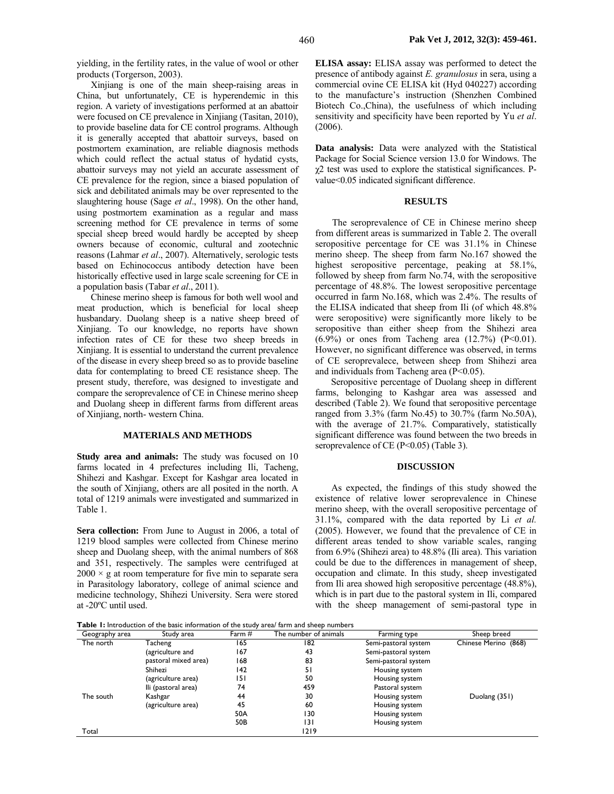yielding, in the fertility rates, in the value of wool or other products (Torgerson, 2003).

Xinjiang is one of the main sheep-raising areas in China, but unfortunately, CE is hyperendemic in this region. A variety of investigations performed at an abattoir were focused on CE prevalence in Xinjiang (Tasitan, 2010), to provide baseline data for CE control programs. Although it is generally accepted that abattoir surveys, based on postmortem examination, are reliable diagnosis methods which could reflect the actual status of hydatid cysts, abattoir surveys may not yield an accurate assessment of CE prevalence for the region, since a biased population of sick and debilitated animals may be over represented to the slaughtering house (Sage *et al*., 1998). On the other hand, using postmortem examination as a regular and mass screening method for CE prevalence in terms of some special sheep breed would hardly be accepted by sheep owners because of economic, cultural and zootechnic reasons (Lahmar *et al*., 2007). Alternatively, serologic tests based on Echinococcus antibody detection have been historically effective used in large scale screening for CE in a population basis (Tabar *et al*., 2011).

Chinese merino sheep is famous for both well wool and meat production, which is beneficial for local sheep husbandary. Duolang sheep is a native sheep breed of Xinjiang. To our knowledge, no reports have shown infection rates of CE for these two sheep breeds in Xinjiang. It is essential to understand the current prevalence of the disease in every sheep breed so as to provide baseline data for contemplating to breed CE resistance sheep. The present study, therefore, was designed to investigate and compare the seroprevalence of CE in Chinese merino sheep and Duolang sheep in different farms from different areas of Xinjiang, north- western China.

### **MATERIALS AND METHODS**

**Study area and animals:** The study was focused on 10 farms located in 4 prefectures including Ili, Tacheng, Shihezi and Kashgar. Except for Kashgar area located in the south of Xinjiang, others are all posited in the north. A total of 1219 animals were investigated and summarized in Table 1.

**Sera collection:** From June to August in 2006, a total of 1219 blood samples were collected from Chinese merino sheep and Duolang sheep, with the animal numbers of 868 and 351, respectively. The samples were centrifuged at  $2000 \times g$  at room temperature for five min to separate sera in Parasitology laboratory, college of animal science and medicine technology, Shihezi University. Sera were stored at -20ºC until used.

**ELISA assay:** ELISA assay was performed to detect the presence of antibody against *E. granulosus* in sera, using a commercial ovine CE ELISA kit (Hyd 040227) according to the manufacture's instruction (Shenzhen Combined Biotech Co.,China), the usefulness of which including sensitivity and specificity have been reported by Yu *et al*. (2006).

**Data analysis:** Data were analyzed with the Statistical Package for Social Science version 13.0 for Windows. The  $\gamma$ 2 test was used to explore the statistical significances. Pvalue<0.05 indicated significant difference.

#### **RESULTS**

The seroprevalence of CE in Chinese merino sheep from different areas is summarized in Table 2. The overall seropositive percentage for CE was 31.1% in Chinese merino sheep. The sheep from farm No.167 showed the highest seropositive percentage, peaking at 58.1%, followed by sheep from farm No.74, with the seropositive percentage of 48.8%. The lowest seropositive percentage occurred in farm No.168, which was 2.4%. The results of the ELISA indicated that sheep from Ili (of which 48.8% were seropositive) were significantly more likely to be seropositive than either sheep from the Shihezi area  $(6.9\%)$  or ones from Tacheng area  $(12.7\%)$  (P<0.01). However, no significant difference was observed, in terms of CE seroprevalece, between sheep from Shihezi area and individuals from Tacheng area (P<0.05).

Seropositive percentage of Duolang sheep in different farms, belonging to Kashgar area was assessed and described (Table 2). We found that seropositive percentage ranged from 3.3% (farm No.45) to 30.7% (farm No.50A), with the average of 21.7%. Comparatively, statistically significant difference was found between the two breeds in seroprevalence of CE (P<0.05) (Table 3).

#### **DISCUSSION**

As expected, the findings of this study showed the existence of relative lower seroprevalence in Chinese merino sheep, with the overall seropositive percentage of 31.1%, compared with the data reported by Li *et al.*  (2005). However, we found that the prevalence of CE in different areas tended to show variable scales, ranging from 6.9% (Shihezi area) to 48.8% (Ili area). This variation could be due to the differences in management of sheep, occupation and climate. In this study, sheep investigated from Ili area showed high seropositive percentage (48.8%), which is in part due to the pastoral system in Ili, compared with the sheep management of semi-pastoral type in

**Table 1:** Introduction of the basic information of the study area/ farm and sheep numbers

| Geography area | Study area           | Farm $#$ | The number of animals | Farming type         | Sheep breed          |
|----------------|----------------------|----------|-----------------------|----------------------|----------------------|
| The north      | Tacheng              | 165      | 182                   | Semi-pastoral system | Chinese Merino (868) |
|                | (agriculture and     | 167      | 43                    | Semi-pastoral system |                      |
|                | pastoral mixed area) | 168      | 83                    | Semi-pastoral system |                      |
|                | Shihezi              | 142      | 51                    | Housing system       |                      |
|                | (agriculture area)   | 151      | 50                    | Housing system       |                      |
|                | lli (pastoral area)  | 74       | 459                   | Pastoral system      |                      |
| The south      | Kashgar              | 44       | 30                    | Housing system       | Duolang (351)        |
|                | (agriculture area)   | 45       | 60                    | Housing system       |                      |
|                |                      | 50A      | 130                   | Housing system       |                      |
|                |                      | 50B      | 131                   | Housing system       |                      |
| Total          |                      |          | 1219                  |                      |                      |